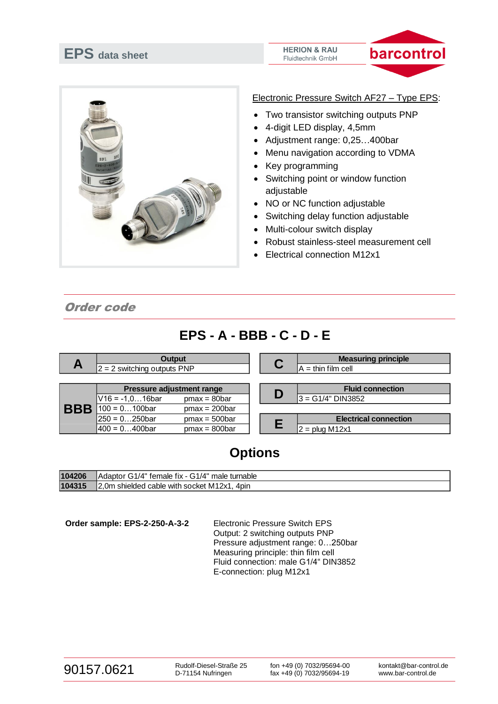





Electronic Pressure Switch AF27 – Type EPS:

- Two transistor switching outputs PNP
- 4-digit LED display, 4,5mm
- Adjustment range: 0,25…400bar
- Menu navigation according to VDMA
- Key programming
- Switching point or window function adjustable
- NO or NC function adjustable
- Switching delay function adjustable
- Multi-colour switch display
- Robust stainless-steel measurement cell
- Electrical connection M12x1

Order code

## **EPS - A - BBB - C - D - E**

| A          | <b>Output</b><br>$2 = 2$ switching outputs PNP                              |                                    | C | <b>Measuring principle</b><br>$A = \text{thin film cell}$ |
|------------|-----------------------------------------------------------------------------|------------------------------------|---|-----------------------------------------------------------|
| <b>BBB</b> | <b>Pressure adjustment range</b><br>$V16 = -1, 016$ bar<br>$100 = 0100$ bar | $pmax = 80bar$<br>$pmax = 200bar$  | D | <b>Fluid connection</b><br>3 = G1/4" DIN3852              |
|            | $ 250 = 0$ 250bar<br>1400 = 0400bar                                         | $pmax = 500bar$<br>$pmax = 800bar$ |   | <b>Electrical connection</b><br>$2 = plug M12x1$          |

## **Options**

| 104206 | "Adaptor G1/4" female fix - G1/4" male turnable |
|--------|-------------------------------------------------|
| 104315 | 2.0m shielded cable with socket M12x1.<br>4pin  |

**Order sample: EPS-2-250-A-3-2** Electronic Pressure Switch EPS

Output: 2 switching outputs PNP Pressure adjustment range: 0…250bar Measuring principle: thin film cell Fluid connection: male G1/4" DIN3852 E-connection: plug M12x1